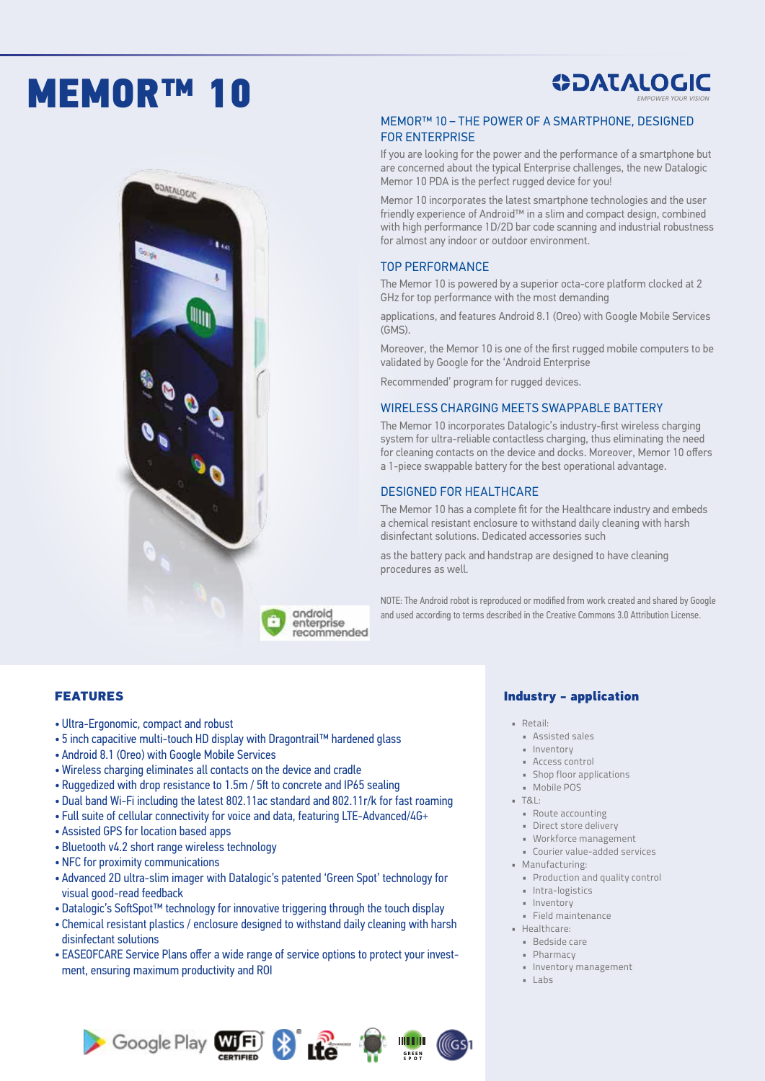# MEMOR™ 10



**ODATALOGIC** 

### MEMOR™ 10 – THE POWER OF A SMARTPHONE, DESIGNED FOR ENTERPRISE

If you are looking for the power and the performance of a smartphone but are concerned about the typical Enterprise challenges, the new Datalogic Memor 10 PDA is the perfect rugged device for you!

Memor 10 incorporates the latest smartphone technologies and the user friendly experience of Android™ in a slim and compact design, combined with high performance 1D/2D bar code scanning and industrial robustness for almost any indoor or outdoor environment.

#### TOP PERFORMANCE

The Memor 10 is powered by a superior octa-core platform clocked at 2 GHz for top performance with the most demanding

applications, and features Android 8.1 (Oreo) with Google Mobile Services (GMS).

Moreover, the Memor 10 is one of the first rugged mobile computers to be validated by Google for the 'Android Enterprise

Recommended' program for rugged devices.

#### WIRELESS CHARGING MEETS SWAPPABLE BATTERY

The Memor 10 incorporates Datalogic's industry-first wireless charging system for ultra-reliable contactless charging, thus eliminating the need for cleaning contacts on the device and docks. Moreover, Memor 10 offers a 1-piece swappable battery for the best operational advantage.

#### DESIGNED FOR HEALTHCARE

The Memor 10 has a complete fit for the Healthcare industry and embeds a chemical resistant enclosure to withstand daily cleaning with harsh disinfectant solutions. Dedicated accessories such

as the battery pack and handstrap are designed to have cleaning procedures as well.

NOTE: The Android robot is reproduced or modified from work created and shared by Google and used according to terms described in the Creative Commons 3.0 Attribution License.

#### FEATURES

- Ultra-Ergonomic, compact and robust
- 5 inch capacitive multi-touch HD display with Dragontrail™ hardened glass
- Android 8.1 (Oreo) with Google Mobile Services
- Wireless charging eliminates all contacts on the device and cradle
- Ruggedized with drop resistance to 1.5m / 5ft to concrete and IP65 sealing
- Dual band Wi-Fi including the latest 802.11ac standard and 802.11r/k for fast roaming

android enterprise recommended

- Full suite of cellular connectivity for voice and data, featuring LTE-Advanced/4G+
- Assisted GPS for location based apps
- Bluetooth v4.2 short range wireless technology
- NFC for proximity communications
- Advanced 2D ultra-slim imager with Datalogic's patented 'Green Spot' technology for visual good-read feedback
- Datalogic's SoftSpot™ technology for innovative triggering through the touch display
- Chemical resistant plastics / enclosure designed to withstand daily cleaning with harsh disinfectant solutions
- EASEOFCARE Service Plans offer a wide range of service options to protect your investment, ensuring maximum productivity and ROI



#### Industry - application

- Retail:
	- Assisted sales
	- Inventory
	- Access control
	- Shop floor applications
	- Mobile POS
- T&L:
	- Route accounting • Direct store delivery
	- Workforce management
	- Courier value-added services
- Manufacturing:
	- Production and quality control
	- Intra-logistics
	- Inventory
	- Field maintenance
- Healthcare:
	- Bedside care
	- Pharmacy
	- Inventory management
- Labs

**GREEN SPOT**